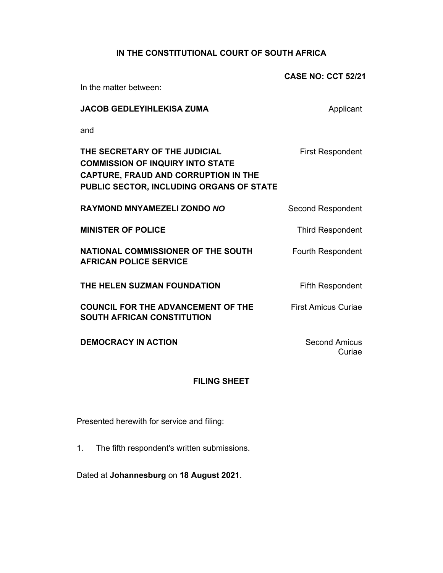# **IN THE CONSTITUTIONAL COURT OF SOUTH AFRICA**

|                                                                                                                                                                     | <b>CASE NO: CCT 52/21</b>      |
|---------------------------------------------------------------------------------------------------------------------------------------------------------------------|--------------------------------|
| In the matter between:                                                                                                                                              |                                |
| <b>JACOB GEDLEYIHLEKISA ZUMA</b>                                                                                                                                    | Applicant                      |
| and                                                                                                                                                                 |                                |
| THE SECRETARY OF THE JUDICIAL<br><b>COMMISSION OF INQUIRY INTO STATE</b><br><b>CAPTURE, FRAUD AND CORRUPTION IN THE</b><br>PUBLIC SECTOR, INCLUDING ORGANS OF STATE | <b>First Respondent</b>        |
| <b>RAYMOND MNYAMEZELI ZONDO NO</b>                                                                                                                                  | <b>Second Respondent</b>       |
| <b>MINISTER OF POLICE</b>                                                                                                                                           | <b>Third Respondent</b>        |
| NATIONAL COMMISSIONER OF THE SOUTH<br><b>AFRICAN POLICE SERVICE</b>                                                                                                 | <b>Fourth Respondent</b>       |
| THE HELEN SUZMAN FOUNDATION                                                                                                                                         | <b>Fifth Respondent</b>        |
| <b>COUNCIL FOR THE ADVANCEMENT OF THE</b><br><b>SOUTH AFRICAN CONSTITUTION</b>                                                                                      | <b>First Amicus Curiae</b>     |
| <b>DEMOCRACY IN ACTION</b>                                                                                                                                          | <b>Second Amicus</b><br>Curiae |

### **FILING SHEET**

Presented herewith for service and filing:

1. The fifth respondent's written submissions.

Dated at **Johannesburg** on **18 August 2021**.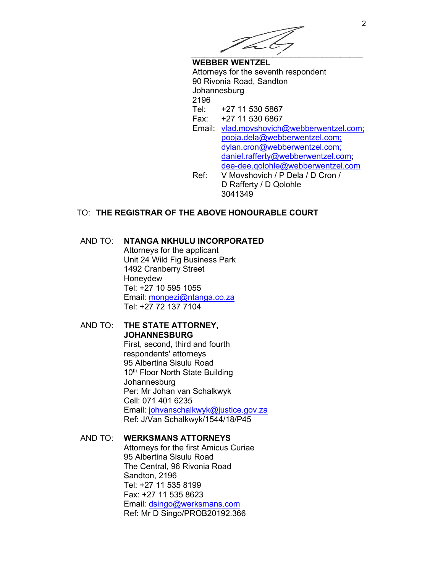

**WEBBER WENTZEL**  Attorneys for the seventh respondent 90 Rivonia Road, Sandton Johannesburg 2196 Tel: +27 11 530 5867 Fax: +27 11 530 6867 Email: vlad.movshovich@webberwentzel.com; pooja.dela@webberwentzel.com; dylan.cron@webberwentzel.com; daniel.rafferty@webberwentzel.com; dee-dee.qolohle@webberwentzel.com Ref: V Movshovich / P Dela / D Cron / D Rafferty / D Qolohle 3041349

# TO: **THE REGISTRAR OF THE ABOVE HONOURABLE COURT**

### AND TO: **NTANGA NKHULU INCORPORATED**

Attorneys for the applicant Unit 24 Wild Fig Business Park 1492 Cranberry Street Honeydew Tel: +27 10 595 1055 Email: mongezi@ntanga.co.za Tel: +27 72 137 7104

### AND TO: **THE STATE ATTORNEY, JOHANNESBURG**

First, second, third and fourth respondents' attorneys 95 Albertina Sisulu Road 10<sup>th</sup> Floor North State Building Johannesburg Per: Mr Johan van Schalkwyk Cell: 071 401 6235 Email: johvanschalkwyk@justice.gov.za Ref: J/Van Schalkwyk/1544/18/P45

### AND TO: **WERKSMANS ATTORNEYS** Attorneys for the first Amicus Curiae 95 Albertina Sisulu Road The Central, 96 Rivonia Road Sandton, 2196 Tel: +27 11 535 8199 Fax: +27 11 535 8623 Email: dsingo@werksmans.com Ref: Mr D Singo/PROB20192.366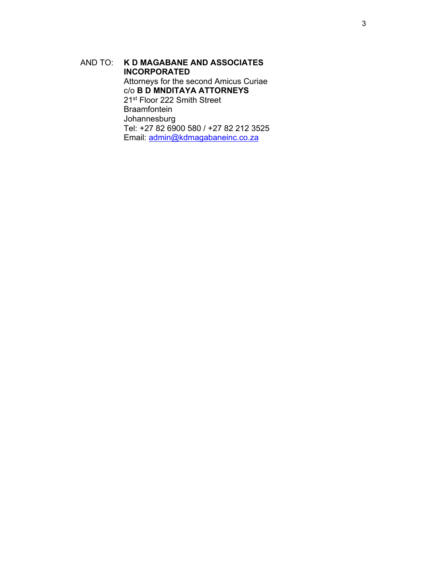AND TO: **K D MAGABANE AND ASSOCIATES INCORPORATED**  Attorneys for the second Amicus Curiae c/o **B D MNDITAYA ATTORNEYS** 21st Floor 222 Smith Street Braamfontein Johannesburg Tel: +27 82 6900 580 / +27 82 212 3525 Email: admin@kdmagabaneinc.co.za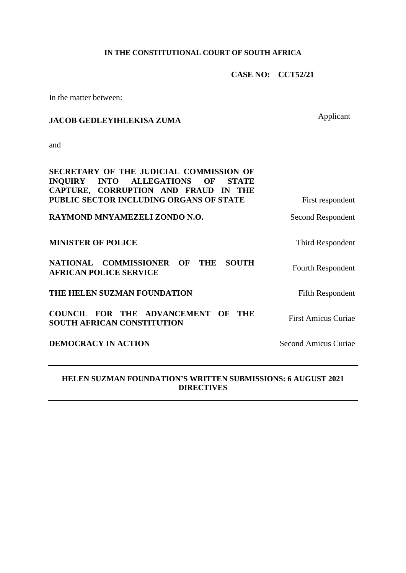# **IN THE CONSTITUTIONAL COURT OF SOUTH AFRICA**

**CASE NO: CCT52/21**

In the matter between:

# **JACOB GEDLEYIHLEKISA ZUMA** Applicant

and

 $\mathcal{A}^{\mathcal{A}}$ 

| SECRETARY OF THE JUDICIAL COMMISSION OF                                                                 |                             |
|---------------------------------------------------------------------------------------------------------|-----------------------------|
| <b>INTO ALLEGATIONS</b><br>OF<br><b>INOUIRY</b><br><b>STATE</b><br>CAPTURE, CORRUPTION AND FRAUD IN THE |                             |
| PUBLIC SECTOR INCLUDING ORGANS OF STATE                                                                 | First respondent            |
| RAYMOND MNYAMEZELI ZONDO N.O.                                                                           | Second Respondent           |
| <b>MINISTER OF POLICE</b>                                                                               | Third Respondent            |
| NATIONAL COMMISSIONER OF<br><b>THE</b><br><b>SOUTH</b><br><b>AFRICAN POLICE SERVICE</b>                 | <b>Fourth Respondent</b>    |
| THE HELEN SUZMAN FOUNDATION                                                                             | <b>Fifth Respondent</b>     |
| <b>COUNCIL FOR THE ADVANCEMENT</b><br>OF<br>THE<br><b>SOUTH AFRICAN CONSTITUTION</b>                    | <b>First Amicus Curiae</b>  |
| <b>DEMOCRACY IN ACTION</b>                                                                              | <b>Second Amicus Curiae</b> |

# **HELEN SUZMAN FOUNDATION'S WRITTEN SUBMISSIONS: 6 AUGUST 2021 DIRECTIVES**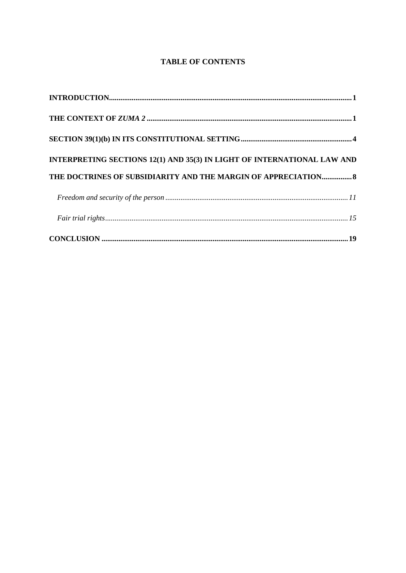# **TABLE OF CONTENTS**

| INTERPRETING SECTIONS 12(1) AND 35(3) IN LIGHT OF INTERNATIONAL LAW AND |  |
|-------------------------------------------------------------------------|--|
| THE DOCTRINES OF SUBSIDIARITY AND THE MARGIN OF APPRECIATION 8          |  |
|                                                                         |  |
|                                                                         |  |
|                                                                         |  |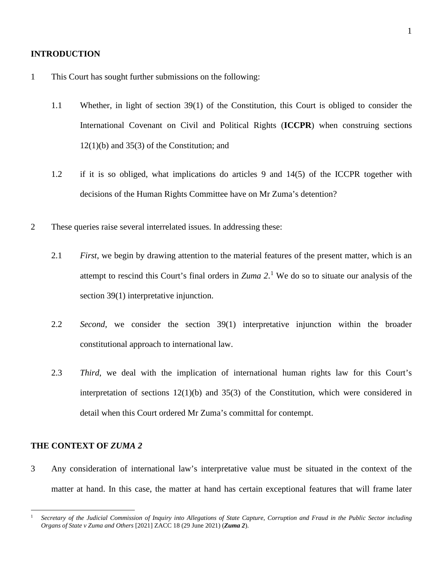#### **INTRODUCTION**

- 1 This Court has sought further submissions on the following:
	- 1.1 Whether, in light of section 39(1) of the Constitution, this Court is obliged to consider the International Covenant on Civil and Political Rights (**ICCPR**) when construing sections  $12(1)(b)$  and  $35(3)$  of the Constitution; and
	- 1.2 if it is so obliged, what implications do articles 9 and 14(5) of the ICCPR together with decisions of the Human Rights Committee have on Mr Zuma's detention?
- 2 These queries raise several interrelated issues. In addressing these:
	- 2.1 *First*, we begin by drawing attention to the material features of the present matter, which is an attempt to rescind this Court's final orders in *Zuma 2*. [1](#page-5-0) We do so to situate our analysis of the section 39(1) interpretative injunction.
	- 2.2 *Second*, we consider the section 39(1) interpretative injunction within the broader constitutional approach to international law.
	- 2.3 *Third*, we deal with the implication of international human rights law for this Court's interpretation of sections  $12(1)(b)$  and  $35(3)$  of the Constitution, which were considered in detail when this Court ordered Mr Zuma's committal for contempt.

### **THE CONTEXT OF** *ZUMA 2*

3 Any consideration of international law's interpretative value must be situated in the context of the matter at hand. In this case, the matter at hand has certain exceptional features that will frame later

<span id="page-5-0"></span><sup>1</sup> *Secretary of the Judicial Commission of Inquiry into Allegations of State Capture, Corruption and Fraud in the Public Sector including Organs of State v Zuma and Others* [2021] ZACC 18 (29 June 2021) (*Zuma 2*).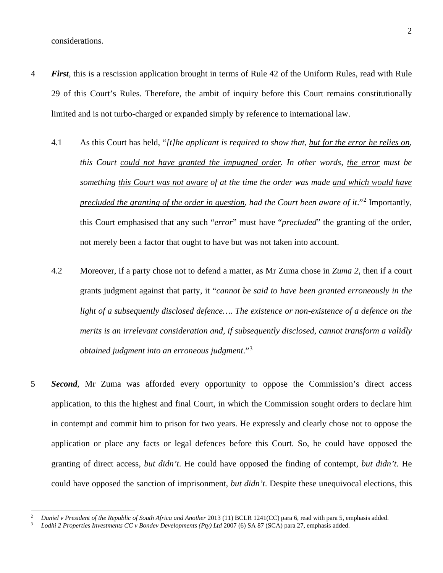considerations.

- 4 *First*, this is a rescission application brought in terms of Rule 42 of the Uniform Rules, read with Rule 29 of this Court's Rules. Therefore, the ambit of inquiry before this Court remains constitutionally limited and is not turbo-charged or expanded simply by reference to international law.
	- 4.1 As this Court has held, "*[t]he applicant is required to show that, but for the error he relies on, this Court could not have granted the impugned order. In other words, the error must be something this Court was not aware of at the time the order was made and which would have precluded the granting of the order in question, had the Court been aware of it.*"<sup>[2](#page-6-0)</sup> Importantly, this Court emphasised that any such "*error*" must have "*precluded*" the granting of the order, not merely been a factor that ought to have but was not taken into account.
	- 4.2 Moreover, if a party chose not to defend a matter, as Mr Zuma chose in *Zuma 2*, then if a court grants judgment against that party, it "*cannot be said to have been granted erroneously in the light of a subsequently disclosed defence…. The existence or non-existence of a defence on the merits is an irrelevant consideration and, if subsequently disclosed, cannot transform a validly obtained judgment into an erroneous judgment*."[3](#page-6-1)
- 5 *Second*, Mr Zuma was afforded every opportunity to oppose the Commission's direct access application, to this the highest and final Court, in which the Commission sought orders to declare him in contempt and commit him to prison for two years. He expressly and clearly chose not to oppose the application or place any facts or legal defences before this Court. So, he could have opposed the granting of direct access, *but didn't*. He could have opposed the finding of contempt, *but didn't*. He could have opposed the sanction of imprisonment, *but didn't*. Despite these unequivocal elections, this

<span id="page-6-1"></span><span id="page-6-0"></span><sup>2</sup> *Daniel v President of the Republic of South Africa and Another* 2013 (11) BCLR 1241(CC) para 6, read with para 5, emphasis added.

<sup>3</sup> *Lodhi 2 Properties Investments CC v Bondev Developments (Pty) Ltd* 2007 (6) SA 87 (SCA) para 27, emphasis added.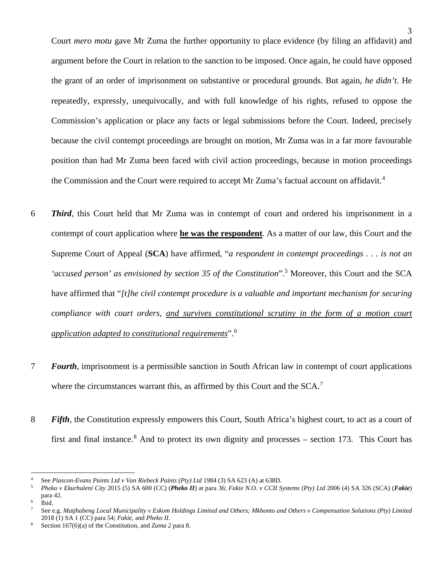Court *mero motu* gave Mr Zuma the further opportunity to place evidence (by filing an affidavit) and argument before the Court in relation to the sanction to be imposed. Once again, he could have opposed the grant of an order of imprisonment on substantive or procedural grounds. But again, *he didn't*. He repeatedly, expressly, unequivocally, and with full knowledge of his rights, refused to oppose the Commission's application or place any facts or legal submissions before the Court. Indeed, precisely because the civil contempt proceedings are brought on motion, Mr Zuma was in a far more favourable position than had Mr Zuma been faced with civil action proceedings, because in motion proceedings the Commission and the Court were required to accept Mr Zuma's factual account on affidavit.<sup>[4](#page-7-0)</sup>

- 6 *Third,* this Court held that Mr Zuma was in contempt of court and ordered his imprisonment in a contempt of court application where **he was the respondent**. As a matter of our law, this Court and the Supreme Court of Appeal (**SCA**) have affirmed, "*a respondent in contempt proceedings . . . is not an 'accused person' as envisioned by section 35 of the Constitution*".[5](#page-7-1) Moreover, this Court and the SCA have affirmed that "*[t]he civil contempt procedure is a valuable and important mechanism for securing compliance with court orders, and survives constitutional scrutiny in the form of a motion court application adapted to constitutional requirements*".[6](#page-7-2)
- 7 *Fourth*, imprisonment is a permissible sanction in South African law in contempt of court applications where the circumstances warrant this, as affirmed by this Court and the  $SCA$ .<sup>[7](#page-7-3)</sup>
- 8 *Fifth,* the Constitution expressly empowers this Court, South Africa's highest court, to act as a court of first and final instance.<sup>[8](#page-7-4)</sup> And to protect its own dignity and processes – section 173. This Court has

<span id="page-7-0"></span><sup>4</sup> See *Plascon-Evans Paints Ltd v Van Riebeck Paints (Pty) Ltd* 1984 (3) SA 623 (A) at 638D.

<span id="page-7-1"></span><sup>5</sup> *Pheko v Ekurhuleni City* 2015 (5) SA 600 (CC) (*Pheko II*) at para 36; *Fakie N.O. v CCII Systems (Pty) Ltd* 2006 (4) SA 326 (SCA) (*Fakie*) para 42.<br>Ibid.

<span id="page-7-3"></span><span id="page-7-2"></span>

<sup>6</sup> Ibid. 7 See e.g. *Matjhabeng Local Municipality v Eskom Holdings Limited and Others; Mkhonto and Others v Compensation Solutions (Pty) Limited* 2018 (1) SA 1 (CC) para 54; *Fakie*, and *Pheko II*.

<span id="page-7-4"></span><sup>8</sup> Section 167(6)(a) of the Constitution, and *Zuma 2* para 8.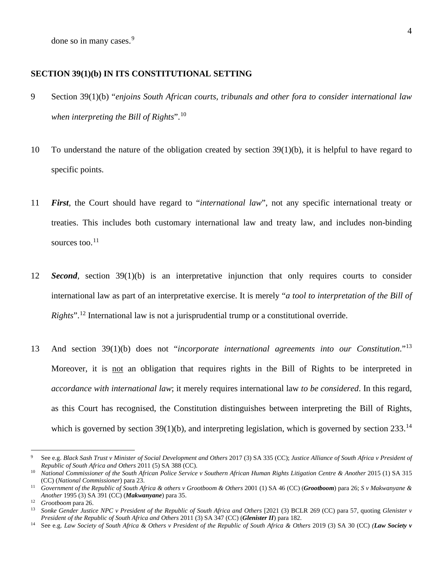done so in many cases.<sup>[9](#page-8-0)</sup>

### **SECTION 39(1)(b) IN ITS CONSTITUTIONAL SETTING**

- 9 Section 39(1)(b) "*enjoins South African courts, tribunals and other fora to consider international law when interpreting the Bill of Rights*".[10](#page-8-1)
- 10 To understand the nature of the obligation created by section 39(1)(b), it is helpful to have regard to specific points.
- 11 *First*, the Court should have regard to "*international law*", not any specific international treaty or treaties. This includes both customary international law and treaty law, and includes non-binding sources too. $11$
- 12 *Second,* section 39(1)(b) is an interpretative injunction that only requires courts to consider international law as part of an interpretative exercise. It is merely "*a tool to interpretation of the Bill of Rights*".<sup>[12](#page-8-3)</sup> International law is not a jurisprudential trump or a constitutional override.
- 13 And section 39(1)(b) does not "*incorporate international agreements into our Constitution*."[13](#page-8-4) Moreover, it is not an obligation that requires rights in the Bill of Rights to be interpreted in *accordance with international law*; it merely requires international law *to be considered*. In this regard, as this Court has recognised, the Constitution distinguishes between interpreting the Bill of Rights, which is governed by section  $39(1)(b)$ , and interpreting legislation, which is governed by section  $233.^{14}$  $233.^{14}$  $233.^{14}$

<span id="page-8-0"></span><sup>9</sup> See e.g. *Black Sash Trust v Minister of Social Development and Others* 2017 (3) SA 335 (CC); *Justice Alliance of South Africa v President of Republic of South Africa and Others* 2011 (5) SA 388 (CC).

<span id="page-8-1"></span><sup>10</sup> *National Commissioner of the South African Police Service v Southern African Human Rights Litigation Centre & Another* 2015 (1) SA 315 (CC) (*National Commissioner*) para 23.

<span id="page-8-2"></span><sup>11</sup> *Government of the Republic of South Africa & others v Grootboom & Others* 2001 (1) SA 46 (CC) (*Grootboom*) para 26; *S v Makwanyane & Another* 1995 (3) SA 391 (CC) (*Makwanyane*) para 35.

<span id="page-8-4"></span><span id="page-8-3"></span><sup>&</sup>lt;sup>13</sup> Sonke Gender Justice NPC *v* President of the Republic of South Africa and Others [2021 (3) BCLR 269 (CC) para 57, quoting *Glenister v President of the Republic of South Africa and Others* 2011 (3) SA 347 (CC) (*Glenister II*) para 182.

<span id="page-8-5"></span><sup>14</sup> See e.g. *Law Society of South Africa & Others v President of the Republic of South Africa & Others* 2019 (3) SA 30 (CC) *(Law Society v*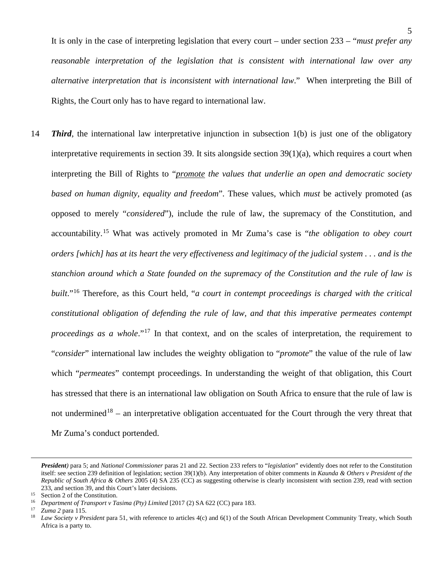It is only in the case of interpreting legislation that every court – under section 233 – "*must prefer any reasonable interpretation of the legislation that is consistent with international law over any alternative interpretation that is inconsistent with international law*." When interpreting the Bill of Rights, the Court only has to have regard to international law.

14 *Third*, the international law interpretative injunction in subsection 1(b) is just one of the obligatory interpretative requirements in section 39. It sits alongside section 39(1)(a), which requires a court when interpreting the Bill of Rights to "*promote the values that underlie an open and democratic society based on human dignity, equality and freedom*". These values, which *must* be actively promoted (as opposed to merely "*considered*"), include the rule of law, the supremacy of the Constitution, and accountability.[15](#page-9-0) What was actively promoted in Mr Zuma's case is "*the obligation to obey court orders [which] has at its heart the very effectiveness and legitimacy of the judicial system . . . and is the stanchion around which a State founded on the supremacy of the Constitution and the rule of law is built*."[16](#page-9-1) Therefore, as this Court held, "*a court in contempt proceedings is charged with the critical constitutional obligation of defending the rule of law, and that this imperative permeates contempt proceedings as a whole*."<sup>[17](#page-9-2)</sup> In that context, and on the scales of interpretation, the requirement to "*consider*" international law includes the weighty obligation to "*promote*" the value of the rule of law which "*permeates*" contempt proceedings. In understanding the weight of that obligation, this Court has stressed that there is an international law obligation on South Africa to ensure that the rule of law is not undermined<sup>[18](#page-9-3)</sup> – an interpretative obligation accentuated for the Court through the very threat that Mr Zuma's conduct portended.

*President)* para 5; and *National Commissioner* paras 21 and 22. Section 233 refers to "*legislation*" evidently does not refer to the Constitution itself: see section 239 definition of legislation; section 39(1)(b). Any interpretation of obiter comments in *Kaunda & Others v President of the Republic of South Africa & Others* 2005 (4) SA 235 (CC) as suggesting otherwise is clearly inconsistent with section 239, read with section 233, and section 39, and this Court's later decisions.<br><sup>15</sup> Section 2 of the Constitution.

<span id="page-9-0"></span>

<span id="page-9-1"></span><sup>&</sup>lt;sup>16</sup> Department of Transport v Tasima (Pty) Limited [2017 (2) SA 622 (CC) para 183.

<span id="page-9-2"></span><sup>17</sup> *Zuma 2* para 115.

<span id="page-9-3"></span><sup>&</sup>lt;sup>18</sup> *Law Society v President* para 51, with reference to articles 4(c) and 6(1) of the South African Development Community Treaty, which South Africa is a party to.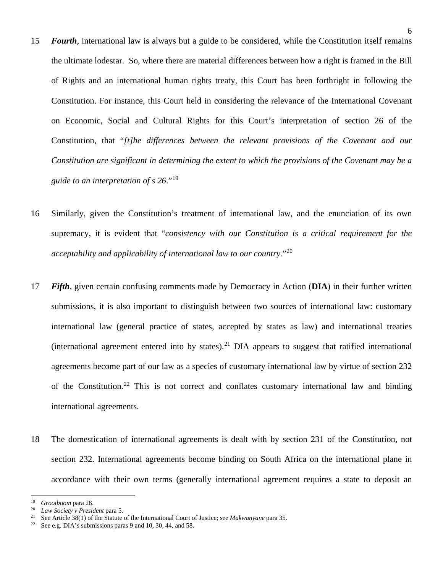- 15 *Fourth*, international law is always but a guide to be considered, while the Constitution itself remains the ultimate lodestar. So, where there are material differences between how a right is framed in the Bill of Rights and an international human rights treaty, this Court has been forthright in following the Constitution. For instance, this Court held in considering the relevance of the International Covenant on Economic, Social and Cultural Rights for this Court's interpretation of section 26 of the Constitution, that "*[t]he differences between the relevant provisions of the Covenant and our Constitution are significant in determining the extent to which the provisions of the Covenant may be a guide to an interpretation of s 26*."[19](#page-10-0)
- 16 Similarly, given the Constitution's treatment of international law, and the enunciation of its own supremacy, it is evident that "*consistency with our Constitution is a critical requirement for the acceptability and applicability of international law to our country*."[20](#page-10-1)
- 17 *Fifth*, given certain confusing comments made by Democracy in Action (**DIA**) in their further written submissions, it is also important to distinguish between two sources of international law: customary international law (general practice of states, accepted by states as law) and international treaties (international agreement entered into by states).<sup>[21](#page-10-2)</sup> DIA appears to suggest that ratified international agreements become part of our law as a species of customary international law by virtue of section 232 of the Constitution.<sup>[22](#page-10-3)</sup> This is not correct and conflates customary international law and binding international agreements.
- 18 The domestication of international agreements is dealt with by section 231 of the Constitution, not section 232. International agreements become binding on South Africa on the international plane in accordance with their own terms (generally international agreement requires a state to deposit an

<span id="page-10-0"></span><sup>19</sup> *Grootboom* para 28.

<span id="page-10-1"></span><sup>20</sup> *Law Society v President* para 5.

<span id="page-10-3"></span><span id="page-10-2"></span><sup>&</sup>lt;sup>21</sup> See Article 38(1) of the Statute of the International Court of Justice; see *Makwanyane* para 35.

See e.g. DIA's submissions paras 9 and 10, 30, 44, and 58.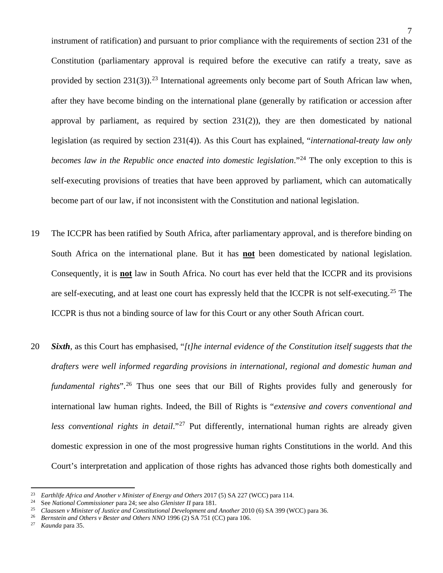instrument of ratification) and pursuant to prior compliance with the requirements of section 231 of the Constitution (parliamentary approval is required before the executive can ratify a treaty, save as provided by section [23](#page-11-0)1(3)).<sup>23</sup> International agreements only become part of South African law when, after they have become binding on the international plane (generally by ratification or accession after approval by parliament, as required by section 231(2)), they are then domesticated by national

legislation (as required by section 231(4)). As this Court has explained, "*international-treaty law only becomes law in the Republic once enacted into domestic legislation*."<sup>[24](#page-11-1)</sup> The only exception to this is self-executing provisions of treaties that have been approved by parliament, which can automatically become part of our law, if not inconsistent with the Constitution and national legislation.

- 19 The ICCPR has been ratified by South Africa, after parliamentary approval, and is therefore binding on South Africa on the international plane. But it has **not** been domesticated by national legislation. Consequently, it is **not** law in South Africa. No court has ever held that the ICCPR and its provisions are self-executing, and at least one court has expressly held that the ICCPR is not self-executing.<sup>[25](#page-11-2)</sup> The ICCPR is thus not a binding source of law for this Court or any other South African court.
- 20 *Sixth*, as this Court has emphasised, "*[t]he internal evidence of the Constitution itself suggests that the drafters were well informed regarding provisions in international, regional and domestic human and fundamental rights*"<sup>[26](#page-11-3)</sup> Thus one sees that our Bill of Rights provides fully and generously for international law human rights. Indeed, the Bill of Rights is "*extensive and covers conventional and less conventional rights in detail*."<sup>[27](#page-11-4)</sup> Put differently, international human rights are already given domestic expression in one of the most progressive human rights Constitutions in the world. And this Court's interpretation and application of those rights has advanced those rights both domestically and

<span id="page-11-0"></span><sup>&</sup>lt;sup>23</sup> *Earthlife Africa and Another v Minister of Energy and Others* 2017 (5) SA 227 (WCC) para 114.<br><sup>24</sup> See National Commissioner para 24: see also Glenister II para 181

<span id="page-11-1"></span><sup>24</sup> See *National Commissioner* para 24; see also *Glenister II* para 181.

<span id="page-11-2"></span><sup>25</sup> *Claassen v Minister of Justice and Constitutional Development and Another* 2010 (6) SA 399 (WCC) para 36.

<span id="page-11-4"></span><span id="page-11-3"></span><sup>&</sup>lt;sup>26</sup> *Bernstein and Others v Bester and Others NNO* 1996 (2) SA 751 (CC) para 106.<br><sup>27</sup> *Kaupela para* 25

<sup>27</sup> *Kaunda* para 35.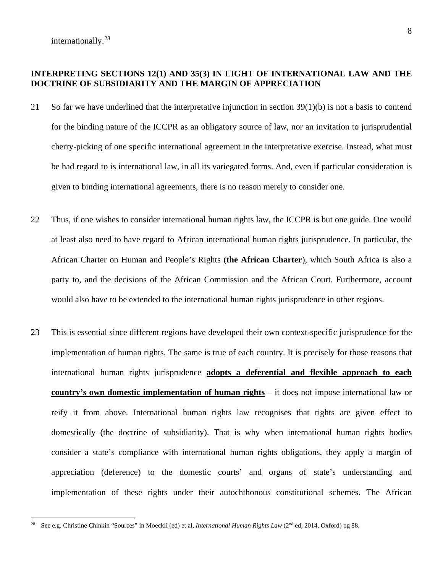# **INTERPRETING SECTIONS 12(1) AND 35(3) IN LIGHT OF INTERNATIONAL LAW AND THE DOCTRINE OF SUBSIDIARITY AND THE MARGIN OF APPRECIATION**

- 21 So far we have underlined that the interpretative injunction in section 39(1)(b) is not a basis to contend for the binding nature of the ICCPR as an obligatory source of law, nor an invitation to jurisprudential cherry-picking of one specific international agreement in the interpretative exercise. Instead, what must be had regard to is international law, in all its variegated forms. And, even if particular consideration is given to binding international agreements, there is no reason merely to consider one.
- 22 Thus, if one wishes to consider international human rights law, the ICCPR is but one guide. One would at least also need to have regard to African international human rights jurisprudence. In particular, the African Charter on Human and People's Rights (**the African Charter**), which South Africa is also a party to, and the decisions of the African Commission and the African Court. Furthermore, account would also have to be extended to the international human rights jurisprudence in other regions.
- 23 This is essential since different regions have developed their own context-specific jurisprudence for the implementation of human rights. The same is true of each country. It is precisely for those reasons that international human rights jurisprudence **adopts a deferential and flexible approach to each country's own domestic implementation of human rights** – it does not impose international law or reify it from above. International human rights law recognises that rights are given effect to domestically (the doctrine of subsidiarity). That is why when international human rights bodies consider a state's compliance with international human rights obligations, they apply a margin of appreciation (deference) to the domestic courts' and organs of state's understanding and implementation of these rights under their autochthonous constitutional schemes. The African

<span id="page-12-0"></span><sup>&</sup>lt;sup>28</sup> See e.g. Christine Chinkin "Sources" in Moeckli (ed) et al, *International Human Rights Law* (2<sup>nd</sup> ed, 2014, Oxford) pg 88.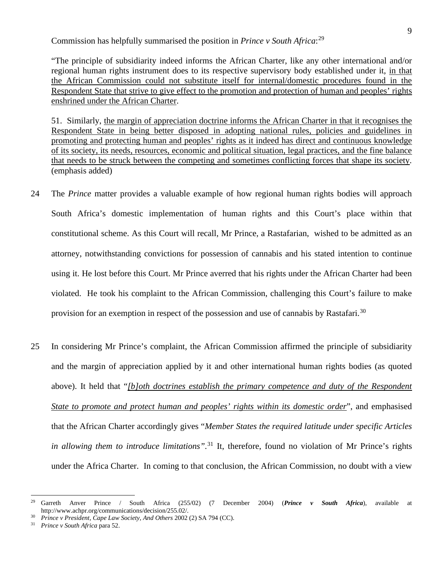Commission has helpfully summarised the position in *Prince v South Africa*: [29](#page-13-0)

"The principle of subsidiarity indeed informs the African Charter, like any other international and/or regional human rights instrument does to its respective supervisory body established under it, in that the African Commission could not substitute itself for internal/domestic procedures found in the Respondent State that strive to give effect to the promotion and protection of human and peoples' rights enshrined under the African Charter.

51. Similarly, the margin of appreciation doctrine informs the African Charter in that it recognises the Respondent State in being better disposed in adopting national rules, policies and guidelines in promoting and protecting human and peoples' rights as it indeed has direct and continuous knowledge of its society, its needs, resources, economic and political situation, legal practices, and the fine balance that needs to be struck between the competing and sometimes conflicting forces that shape its society. (emphasis added)

- 24 The *Prince* matter provides a valuable example of how regional human rights bodies will approach South Africa's domestic implementation of human rights and this Court's place within that constitutional scheme. As this Court will recall, Mr Prince, a Rastafarian, wished to be admitted as an attorney, notwithstanding convictions for possession of cannabis and his stated intention to continue using it. He lost before this Court. Mr Prince averred that his rights under the African Charter had been violated. He took his complaint to the African Commission, challenging this Court's failure to make provision for an exemption in respect of the possession and use of cannabis by Rastafari.<sup>30</sup>
- 25 In considering Mr Prince's complaint, the African Commission affirmed the principle of subsidiarity and the margin of appreciation applied by it and other international human rights bodies (as quoted above). It held that "*[b]oth doctrines establish the primary competence and duty of the Respondent State to promote and protect human and peoples' rights within its domestic order*", and emphasised that the African Charter accordingly gives "*Member States the required latitude under specific Articles in allowing them to introduce limitations".* [31](#page-13-2) It, therefore, found no violation of Mr Prince's rights under the Africa Charter. In coming to that conclusion, the African Commission, no doubt with a view

<span id="page-13-0"></span><sup>29</sup> Garreth Anver Prince / South Africa (255/02) (7 December 2004) (*Prince v South Africa*), available at http://www.achpr.org/communications/decision/255.02/.

<span id="page-13-1"></span><sup>30</sup> *Prince v President, Cape Law Society, And Others* 2002 (2) SA 794 (CC).

<span id="page-13-2"></span><sup>31</sup> *Prince v South Africa* para 52.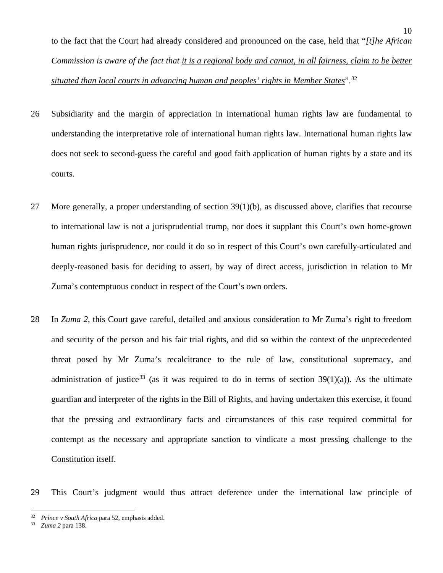to the fact that the Court had already considered and pronounced on the case, held that "*[t]he African Commission is aware of the fact that it is a regional body and cannot, in all fairness, claim to be better situated than local courts in advancing human and peoples' rights in Member States*".[32](#page-14-0)

- 26 Subsidiarity and the margin of appreciation in international human rights law are fundamental to understanding the interpretative role of international human rights law. International human rights law does not seek to second-guess the careful and good faith application of human rights by a state and its courts.
- 27 More generally, a proper understanding of section 39(1)(b), as discussed above, clarifies that recourse to international law is not a jurisprudential trump, nor does it supplant this Court's own home-grown human rights jurisprudence, nor could it do so in respect of this Court's own carefully-articulated and deeply-reasoned basis for deciding to assert, by way of direct access, jurisdiction in relation to Mr Zuma's contemptuous conduct in respect of the Court's own orders.
- 28 In *Zuma 2*, this Court gave careful, detailed and anxious consideration to Mr Zuma's right to freedom and security of the person and his fair trial rights, and did so within the context of the unprecedented threat posed by Mr Zuma's recalcitrance to the rule of law, constitutional supremacy, and administration of justice<sup>[33](#page-14-1)</sup> (as it was required to do in terms of section  $39(1)(a)$ ). As the ultimate guardian and interpreter of the rights in the Bill of Rights, and having undertaken this exercise, it found that the pressing and extraordinary facts and circumstances of this case required committal for contempt as the necessary and appropriate sanction to vindicate a most pressing challenge to the Constitution itself.
- 29 This Court's judgment would thus attract deference under the international law principle of

<span id="page-14-0"></span><sup>32</sup> *Prince v South Africa* para 52, emphasis added.

<span id="page-14-1"></span><sup>33</sup> *Zuma 2* para 138.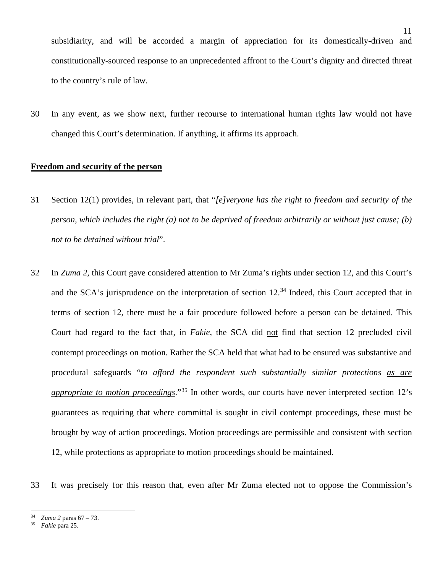subsidiarity, and will be accorded a margin of appreciation for its domestically-driven and constitutionally-sourced response to an unprecedented affront to the Court's dignity and directed threat to the country's rule of law.

30 In any event, as we show next, further recourse to international human rights law would not have changed this Court's determination. If anything, it affirms its approach.

### **Freedom and security of the person**

- 31 Section 12(1) provides, in relevant part, that "*[e]veryone has the right to freedom and security of the person, which includes the right (a) not to be deprived of freedom arbitrarily or without just cause; (b) not to be detained without trial*".
- 32 In *Zuma 2,* this Court gave considered attention to Mr Zuma's rights under section 12, and this Court's and the SCA's jurisprudence on the interpretation of section 12.<sup>[34](#page-15-0)</sup> Indeed, this Court accepted that in terms of section 12, there must be a fair procedure followed before a person can be detained. This Court had regard to the fact that, in *Fakie*, the SCA did not find that section 12 precluded civil contempt proceedings on motion. Rather the SCA held that what had to be ensured was substantive and procedural safeguards "*to afford the respondent such substantially similar protections as are appropriate to motion proceedings*."[35](#page-15-1) In other words, our courts have never interpreted section 12's guarantees as requiring that where committal is sought in civil contempt proceedings, these must be brought by way of action proceedings. Motion proceedings are permissible and consistent with section 12, while protections as appropriate to motion proceedings should be maintained.

33 It was precisely for this reason that, even after Mr Zuma elected not to oppose the Commission's

<span id="page-15-0"></span><sup>34</sup> *Zuma 2* paras 67 – 73.

<span id="page-15-1"></span><sup>35</sup> *Fakie* para 25.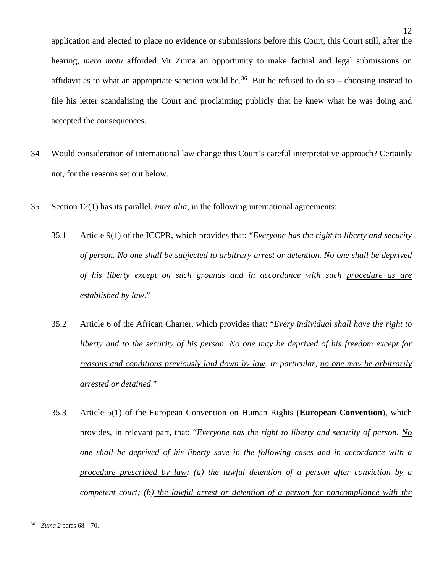application and elected to place no evidence or submissions before this Court, this Court still, after the hearing, *mero motu* afforded Mr Zuma an opportunity to make factual and legal submissions on affidavit as to what an appropriate sanction would be.<sup>[36](#page-16-0)</sup> But he refused to do so – choosing instead to file his letter scandalising the Court and proclaiming publicly that he knew what he was doing and accepted the consequences.

- 34 Would consideration of international law change this Court's careful interpretative approach? Certainly not, for the reasons set out below.
- 35 Section 12(1) has its parallel, *inter alia*, in the following international agreements:
	- 35.1 Article 9(1) of the ICCPR, which provides that: "*Everyone has the right to liberty and security of person. No one shall be subjected to arbitrary arrest or detention. No one shall be deprived of his liberty except on such grounds and in accordance with such procedure as are established by law*."
	- 35.2 Article 6 of the African Charter, which provides that: "*Every individual shall have the right to liberty and to the security of his person. No one may be deprived of his freedom except for reasons and conditions previously laid down by law. In particular, no one may be arbitrarily arrested or detained*."
	- 35.3 Article 5(1) of the European Convention on Human Rights (**European Convention**), which provides, in relevant part, that: "*Everyone has the right to liberty and security of person. No one shall be deprived of his liberty save in the following cases and in accordance with a procedure prescribed by law: (a) the lawful detention of a person after conviction by a competent court; (b) the lawful arrest or detention of a person for noncompliance with the*

<span id="page-16-0"></span><sup>36</sup> *Zuma 2* paras 68 – 70.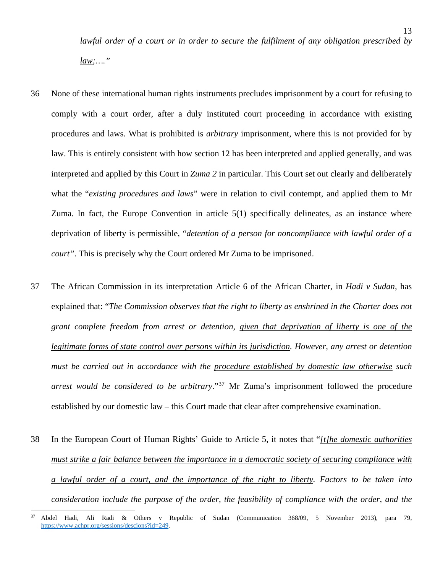13

- 36 None of these international human rights instruments precludes imprisonment by a court for refusing to comply with a court order, after a duly instituted court proceeding in accordance with existing procedures and laws. What is prohibited is *arbitrary* imprisonment, where this is not provided for by law. This is entirely consistent with how section 12 has been interpreted and applied generally, and was interpreted and applied by this Court in *Zuma 2* in particular. This Court set out clearly and deliberately what the "*existing procedures and laws*" were in relation to civil contempt, and applied them to Mr Zuma. In fact, the Europe Convention in article 5(1) specifically delineates, as an instance where deprivation of liberty is permissible, "*detention of a person for noncompliance with lawful order of a court".* This is precisely why the Court ordered Mr Zuma to be imprisoned.
- 37 The African Commission in its interpretation Article 6 of the African Charter, in *Hadi v Sudan*, has explained that: "*The Commission observes that the right to liberty as enshrined in the Charter does not grant complete freedom from arrest or detention, given that deprivation of liberty is one of the legitimate forms of state control over persons within its jurisdiction. However, any arrest or detention must be carried out in accordance with the procedure established by domestic law otherwise such arrest would be considered to be arbitrary*."[37](#page-17-0) Mr Zuma's imprisonment followed the procedure established by our domestic law – this Court made that clear after comprehensive examination.
- 38 In the European Court of Human Rights' Guide to Article 5, it notes that "*[t]he domestic authorities must strike a fair balance between the importance in a democratic society of securing compliance with a lawful order of a court, and the importance of the right to liberty. Factors to be taken into consideration include the purpose of the order, the feasibility of compliance with the order, and the*

<span id="page-17-0"></span><sup>37</sup> Abdel Hadi, Ali Radi & Others v Republic of Sudan (Communication 368/09, 5 November 2013), para 79, [https://www.achpr.org/sessions/descions?id=249.](https://www.achpr.org/sessions/descions?id=249)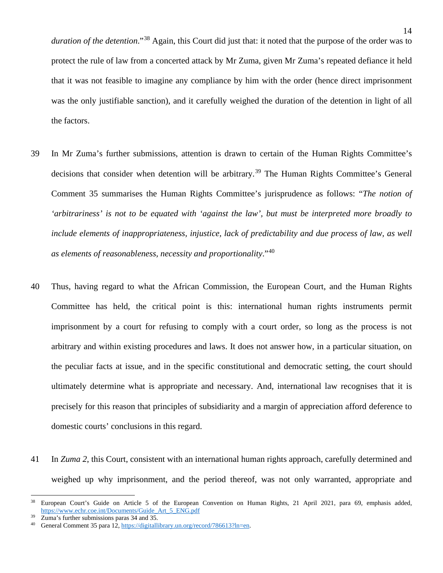*duration of the detention*."[38](#page-18-0) Again, this Court did just that: it noted that the purpose of the order was to protect the rule of law from a concerted attack by Mr Zuma, given Mr Zuma's repeated defiance it held that it was not feasible to imagine any compliance by him with the order (hence direct imprisonment was the only justifiable sanction), and it carefully weighed the duration of the detention in light of all the factors.

- 39 In Mr Zuma's further submissions, attention is drawn to certain of the Human Rights Committee's decisions that consider when detention will be arbitrary.<sup>[39](#page-18-1)</sup> The Human Rights Committee's General Comment 35 summarises the Human Rights Committee's jurisprudence as follows: "*The notion of 'arbitrariness' is not to be equated with 'against the law', but must be interpreted more broadly to include elements of inappropriateness, injustice, lack of predictability and due process of law, as well as elements of reasonableness, necessity and proportionality*."[40](#page-18-2)
- 40 Thus, having regard to what the African Commission, the European Court, and the Human Rights Committee has held, the critical point is this: international human rights instruments permit imprisonment by a court for refusing to comply with a court order, so long as the process is not arbitrary and within existing procedures and laws. It does not answer how, in a particular situation, on the peculiar facts at issue, and in the specific constitutional and democratic setting, the court should ultimately determine what is appropriate and necessary. And, international law recognises that it is precisely for this reason that principles of subsidiarity and a margin of appreciation afford deference to domestic courts' conclusions in this regard.
- 41 In *Zuma 2*, this Court, consistent with an international human rights approach, carefully determined and weighed up why imprisonment, and the period thereof, was not only warranted, appropriate and

<span id="page-18-0"></span><sup>&</sup>lt;sup>38</sup> European Court's Guide on Article 5 of the European Convention on Human Rights, 21 April 2021, para 69, emphasis added, [https://www.echr.coe.int/Documents/Guide\\_Art\\_5\\_ENG.pdf](https://www.echr.coe.int/Documents/Guide_Art_5_ENG.pdf)

<span id="page-18-2"></span><span id="page-18-1"></span><sup>&</sup>lt;sup>39</sup> Zuma's further submissions paras  $34$  and  $35$ .

General Comment 35 para 12[, https://digitallibrary.un.org/record/786613?ln=en.](https://digitallibrary.un.org/record/786613?ln=en)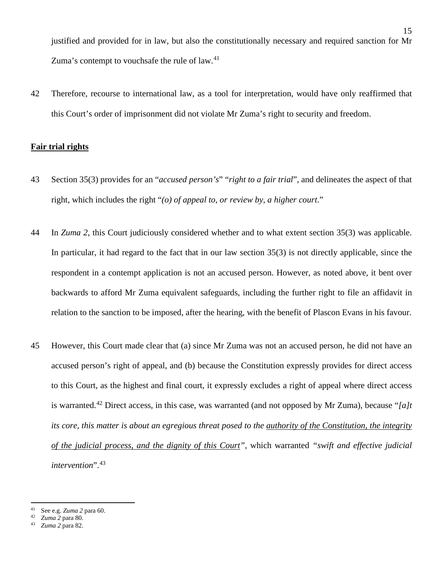justified and provided for in law, but also the constitutionally necessary and required sanction for Mr Zuma's contempt to vouchsafe the rule of law.<sup>[41](#page-19-0)</sup>

42 Therefore, recourse to international law, as a tool for interpretation, would have only reaffirmed that this Court's order of imprisonment did not violate Mr Zuma's right to security and freedom.

### **Fair trial rights**

- 43 Section 35(3) provides for an "*accused person's*" "*right to a fair trial*", and delineates the aspect of that right, which includes the right "*(o) of appeal to, or review by, a higher court*."
- 44 In *Zuma 2*, this Court judiciously considered whether and to what extent section 35(3) was applicable. In particular, it had regard to the fact that in our law section 35(3) is not directly applicable, since the respondent in a contempt application is not an accused person. However, as noted above, it bent over backwards to afford Mr Zuma equivalent safeguards, including the further right to file an affidavit in relation to the sanction to be imposed, after the hearing, with the benefit of Plascon Evans in his favour.
- 45 However, this Court made clear that (a) since Mr Zuma was not an accused person, he did not have an accused person's right of appeal, and (b) because the Constitution expressly provides for direct access to this Court, as the highest and final court, it expressly excludes a right of appeal where direct access is warranted. [42](#page-19-1) Direct access, in this case, was warranted (and not opposed by Mr Zuma), because "*[a]t its core, this matter is about an egregious threat posed to the authority of the Constitution, the integrity of the judicial process, and the dignity of this Court",* which warranted *"swift and effective judicial intervention*". [43](#page-19-2)

<span id="page-19-0"></span><sup>41</sup> See e.g. *Zuma 2* para 60.

<span id="page-19-2"></span><span id="page-19-1"></span><sup>42</sup> *Zuma 2* para 80.

<sup>43</sup> *Zuma 2* para 82.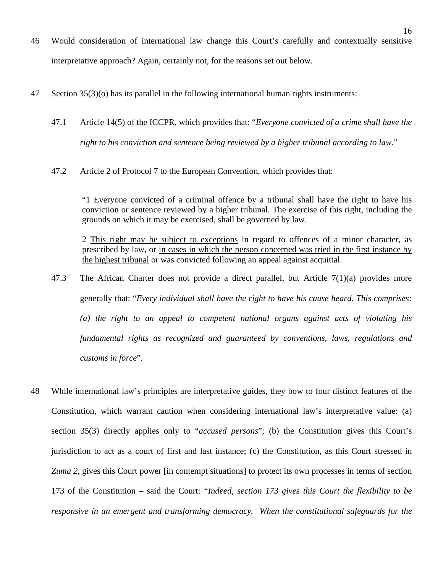- 46 Would consideration of international law change this Court's carefully and contextually sensitive interpretative approach? Again, certainly not, for the reasons set out below.
- 47 Section 35(3)(o) has its parallel in the following international human rights instruments:
	- 47.1 Article 14(5) of the ICCPR, which provides that: "*Everyone convicted of a crime shall have the right to his conviction and sentence being reviewed by a higher tribunal according to law*."
	- 47.2 Article 2 of Protocol 7 to the European Convention, which provides that:

"1 Everyone convicted of a criminal offence by a tribunal shall have the right to have his conviction or sentence reviewed by a higher tribunal. The exercise of this right, including the grounds on which it may be exercised, shall be governed by law.

2 This right may be subject to exceptions in regard to offences of a minor character, as prescribed by law, or in cases in which the person concerned was tried in the first instance by the highest tribunal or was convicted following an appeal against acquittal.

- 47.3 The African Charter does not provide a direct parallel, but Article 7(1)(a) provides more generally that: "*Every individual shall have the right to have his cause heard. This comprises: (a) the right to an appeal to competent national organs against acts of violating his fundamental rights as recognized and guaranteed by conventions, laws, regulations and customs in force*".
- 48 While international law's principles are interpretative guides, they bow to four distinct features of the Constitution, which warrant caution when considering international law's interpretative value: (a) section 35(3) directly applies only to "*accused persons*"; (b) the Constitution gives this Court's jurisdiction to act as a court of first and last instance; (c) the Constitution, as this Court stressed in *Zuma 2*, gives this Court power [in contempt situations] to protect its own processes in terms of section 173 of the Constitution – said the Court: "*Indeed, section 173 gives this Court the flexibility to be responsive in an emergent and transforming democracy. When the constitutional safeguards for the*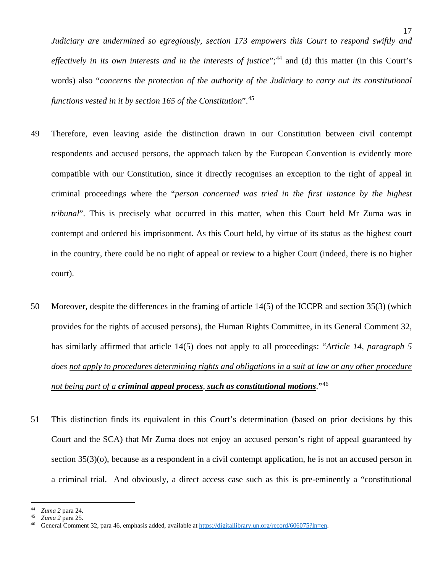*Judiciary are undermined so egregiously, section 173 empowers this Court to respond swiftly and effectively in its own interests and in the interests of justice*"; [44](#page-21-0) and (d) this matter (in this Court's words) also "*concerns the protection of the authority of the Judiciary to carry out its constitutional functions vested in it by section 165 of the Constitution*". [45](#page-21-1)

- 49 Therefore, even leaving aside the distinction drawn in our Constitution between civil contempt respondents and accused persons, the approach taken by the European Convention is evidently more compatible with our Constitution, since it directly recognises an exception to the right of appeal in criminal proceedings where the "*person concerned was tried in the first instance by the highest tribunal*". This is precisely what occurred in this matter, when this Court held Mr Zuma was in contempt and ordered his imprisonment. As this Court held, by virtue of its status as the highest court in the country, there could be no right of appeal or review to a higher Court (indeed, there is no higher court).
- 50 Moreover, despite the differences in the framing of article 14(5) of the ICCPR and section 35(3) (which provides for the rights of accused persons), the Human Rights Committee, in its General Comment 32, has similarly affirmed that article 14(5) does not apply to all proceedings: "*Article 14, paragraph 5 does not apply to procedures determining rights and obligations in a suit at law or any other procedure not being part of a criminal appeal process, such as constitutional motions*."[46](#page-21-2)
- 51 This distinction finds its equivalent in this Court's determination (based on prior decisions by this Court and the SCA) that Mr Zuma does not enjoy an accused person's right of appeal guaranteed by section 35(3)(o), because as a respondent in a civil contempt application, he is not an accused person in a criminal trial. And obviously, a direct access case such as this is pre-eminently a "constitutional

<span id="page-21-0"></span><sup>44</sup> *Zuma 2* para 24.

<span id="page-21-2"></span><span id="page-21-1"></span><sup>45</sup> *Zuma 2* para 25.

General Comment 32, para 46, emphasis added, available a[t https://digitallibrary.un.org/record/606075?ln=en.](https://digitallibrary.un.org/record/606075?ln=en)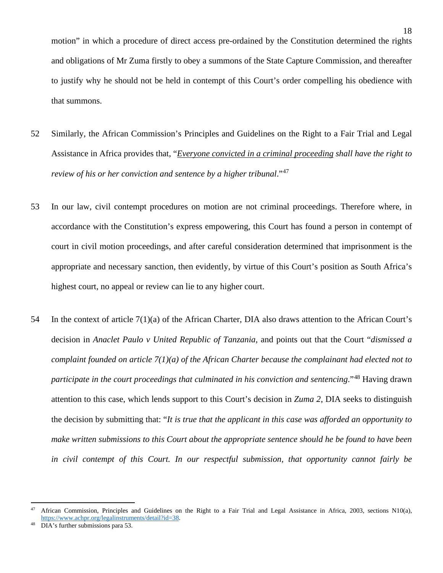motion" in which a procedure of direct access pre-ordained by the Constitution determined the rights and obligations of Mr Zuma firstly to obey a summons of the State Capture Commission, and thereafter to justify why he should not be held in contempt of this Court's order compelling his obedience with that summons.

- 52 Similarly, the African Commission's Principles and Guidelines on the Right to a Fair Trial and Legal Assistance in Africa provides that, "*Everyone convicted in a criminal proceeding shall have the right to review of his or her conviction and sentence by a higher tribunal*."[47](#page-22-0)
- 53 In our law, civil contempt procedures on motion are not criminal proceedings. Therefore where, in accordance with the Constitution's express empowering, this Court has found a person in contempt of court in civil motion proceedings, and after careful consideration determined that imprisonment is the appropriate and necessary sanction, then evidently, by virtue of this Court's position as South Africa's highest court, no appeal or review can lie to any higher court.
- 54 In the context of article 7(1)(a) of the African Charter, DIA also draws attention to the African Court's decision in *Anaclet Paulo v United Republic of Tanzania*, and points out that the Court "*dismissed a complaint founded on article 7(1)(a) of the African Charter because the complainant had elected not to participate in the court proceedings that culminated in his conviction and sentencing*."[48](#page-22-1) Having drawn attention to this case, which lends support to this Court's decision in *Zuma 2*, DIA seeks to distinguish the decision by submitting that: "*It is true that the applicant in this case was afforded an opportunity to make written submissions to this Court about the appropriate sentence should he be found to have been in civil contempt of this Court. In our respectful submission, that opportunity cannot fairly be*

<span id="page-22-0"></span><sup>&</sup>lt;sup>47</sup> African Commission, Principles and Guidelines on the Right to a Fair Trial and Legal Assistance in Africa, 2003, sections N10(a), https://www.achpr.org/legalinstruments/detail?id=38.<br>48 DIA's further submissions para 53.

<span id="page-22-1"></span>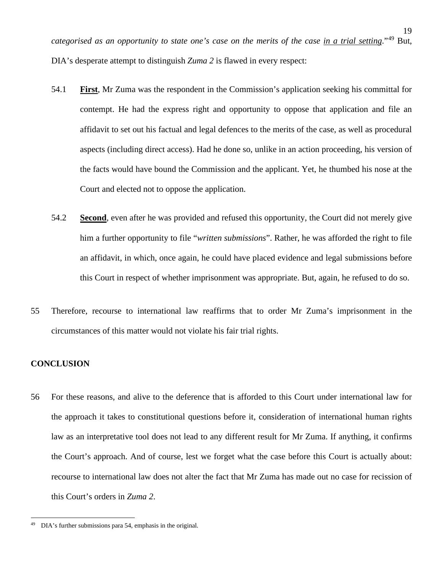*categorised as an opportunity to state one's case on the merits of the case in a trial setting*."[49](#page-23-0) But, DIA's desperate attempt to distinguish *Zuma 2* is flawed in every respect:

- 54.1 **First**, Mr Zuma was the respondent in the Commission's application seeking his committal for contempt. He had the express right and opportunity to oppose that application and file an affidavit to set out his factual and legal defences to the merits of the case, as well as procedural aspects (including direct access). Had he done so, unlike in an action proceeding, his version of the facts would have bound the Commission and the applicant. Yet, he thumbed his nose at the Court and elected not to oppose the application.
- 54.2 **Second**, even after he was provided and refused this opportunity, the Court did not merely give him a further opportunity to file "*written submissions*". Rather, he was afforded the right to file an affidavit, in which, once again, he could have placed evidence and legal submissions before this Court in respect of whether imprisonment was appropriate. But, again, he refused to do so.
- 55 Therefore, recourse to international law reaffirms that to order Mr Zuma's imprisonment in the circumstances of this matter would not violate his fair trial rights.

### **CONCLUSION**

56 For these reasons, and alive to the deference that is afforded to this Court under international law for the approach it takes to constitutional questions before it, consideration of international human rights law as an interpretative tool does not lead to any different result for Mr Zuma. If anything, it confirms the Court's approach. And of course, lest we forget what the case before this Court is actually about: recourse to international law does not alter the fact that Mr Zuma has made out no case for recission of this Court's orders in *Zuma 2*.

19

<span id="page-23-0"></span><sup>49</sup> DIA's further submissions para 54, emphasis in the original.